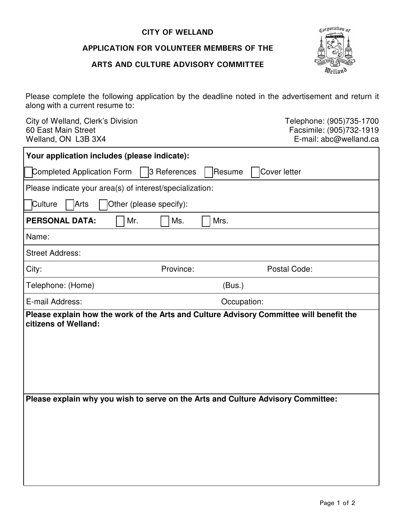## CITY OF WELLAND

## APPLICATION FOR VOLUNTEER MEMBERS OF THE

## ARTS AND CULTURE ADVISORY COMMITTEE



 Please complete the following application by the deadline noted in the advertisement and return it along with a current resume to:

City of Welland, Clerk's Division Clerkton Clerking Clergy and Telephone: (905)735-1700 60 East Main Street Welland, ON L3B 3X4 60 East Main Street Facsimile: (905)732-1919

E-mail: abc@welland.ca

| Your application includes (please indicate):                         |                                                                                         |  |  |
|----------------------------------------------------------------------|-----------------------------------------------------------------------------------------|--|--|
| Cover letter<br>Completed Application Form<br>3 References<br>Resume |                                                                                         |  |  |
| Please indicate your area(s) of interest/specialization:             |                                                                                         |  |  |
| Culture<br>Arts<br>Other (please specify):                           |                                                                                         |  |  |
| <b>PERSONAL DATA:</b><br>Mr.                                         | Ms.<br>Mrs.                                                                             |  |  |
| Name:                                                                |                                                                                         |  |  |
| <b>Street Address:</b>                                               |                                                                                         |  |  |
| City:                                                                | Postal Code:<br>Province:                                                               |  |  |
| Telephone: (Home)                                                    | (Bus.)                                                                                  |  |  |
|                                                                      | Occupation:                                                                             |  |  |
| E-mail Address:                                                      |                                                                                         |  |  |
| citizens of Welland:                                                 | Please explain how the work of the Arts and Culture Advisory Committee will benefit the |  |  |